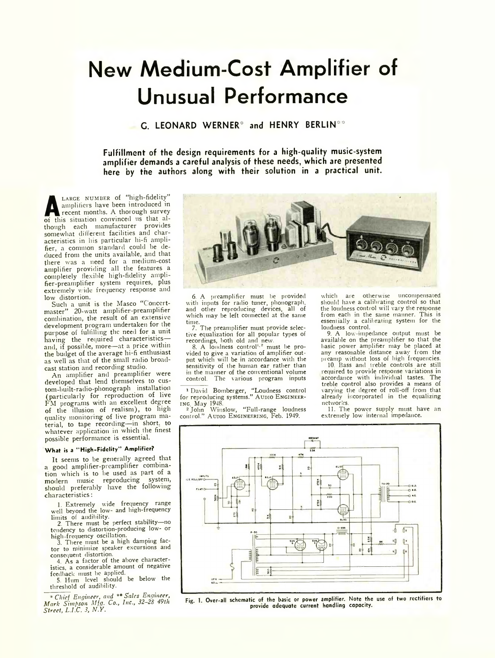## **New Medium-Cost Amplifier of Unusuai Performance**

**C. LEONARD WERNER\*** and HENRY BERLIN\*\*

**Fulfillment of the design requirements for a high-quality music-system amplifier demands a careful analysis of these needs, which are presented here by the authors along with their solution in a practical unit.**

**A A A EXECUTE:** The thermal property of this situation convinced us that al-LARGE NUMBER of "high-fidelity" amplifiers have been introduced in recent months. A thorough survey though each manufacturer provides somewhat different facilities and characteristics in his particular hi-fi amplifier, a common standard could be deduced from the units available, and that there was a need for a medium-cost amplifier providing all the features a completely flexible high-fidelity amplifier-preamplifier system requires, plus extremely wide frequency response and low distortion.

Such a unit is the Masco "C oncertmaster" 20-watt amplifier-preamplifier combination, the result of an extensive development program undertaken for the purpose of fulfilling the need for a unit having the required characteristics and, if possible, more—at a price within the budget of the average hi-fi enthusiast as well as that of the small radio broadcast station and recording studio.

An amplifier and preamplifier were developed that lend themselves to custom built-radio-phonograph installation (particularly for reproduction of live  $FM$  programs with an excellent degree of the illusion of realism), to high quality monitoring of live program material, to tape recording—in short, to whatever application in which the finest possible performance is essential.

## **W hat is a " High-Fidelity" Amplifier?**

It seems to be generally agreed that a good amplifier-preamplifier combination which is to be used as part of a modern music reproducing system, should preferably have the following characteristics:

1. Extremely wide frequency range well beyond the low- and high-frequency

limits of audibility. 2. There must be perfect stability—no tendency to distortion-producing low- or high-frequency oscillation.

3. There must be a high damping factor to minimize speaker excursions and

consequent distortion. 4. As a factor of the above characteristics, a considerable amount of negative

feedback must be applied. 5. Hum level should be below the threshold of audibility.

\* *Chief Engineer, and \*\* Sales Engineer, Mark Simpson Mfg. Co., Inc., 32-28 49th Street, L.I.C. 3, N.Y.*



preamplifier must be provided with inputs for radio tuner, phonograph, and other reproducing devices, all of which may be left connected at the same

time.<br>7. The preamplifier must provide selective equalization for all popular types of

recordings, both old and new.<br>8. A loudness control<sup>1, 2</sup> must be provided to give a variation of amplifier output which will be in accordance with the sensitivity of the human ear rather than in the manner of the conventional volume control. The various program inputs

<sup>1</sup> David Bomberger, "Loudness control for reproducing systems." AUDIO ENGINEER-

ing, May 1948. 2 John Winslow, "Full-range loudness control." A unio ENGINEERING, Feb. 1949.

which are otherwise uncompensated should have a calibrating control so that the loudness control will vary the response from each in the same manner. This is essentially a calibrating system for the loudness control.

9. A low-impedance output must be available on the preamplifier so that the basic power amplifier may be placed at any reasonable distance away from the preamp without loss of high frequencies.

10. Bass and treble controls are still required to provide response variations in accordance with individual tastes. The treble control also provides a means of varying the degree of roll-off from that already incorporated in the equalizing networks.

11. The power supply must have an extremely low internal impedance.



Fig. 1. Over-all schematic of the basic or power amplifier. Note the use of two rectifiers to provide adequate current handling capacity.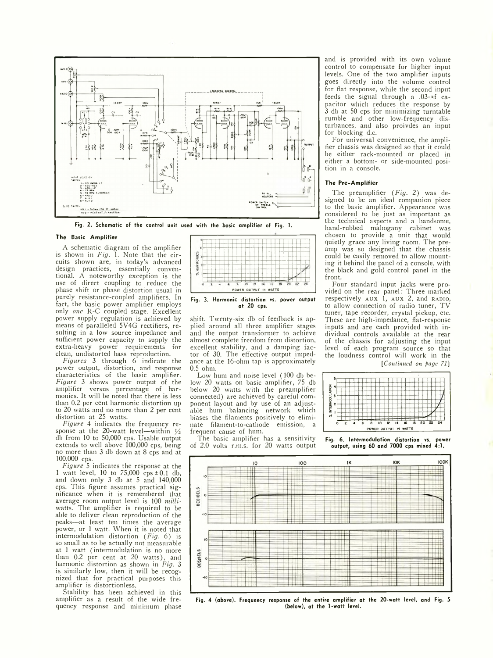

Fig. 2. Schematic of the control unit used with the basic amplifier of Fig. 1.

## **The** Basic **Amplifier**

A schematic diagram of the amplifier is shown in *Fig.* 1. Note that the circuits shown are, in today's advanced design practices, essentially conventional. A noteworthy exception is the use of direct coupling to reduce the phase shift or phase distortion usual in purely resistance-coupled amplifiers. In fact, the basic power amplifier employs only *one* R-C coupled stage. Excellent power supply regulation is achieved by means of paralleled 5V4G rectifiers, resulting in a low source impedance and sufficient power capacity to supply the extra-heavy power requirements for clean, undistorted bass reproduction.

*Figures* 3 through 6 indicate the power output, distortion, and response characteristics of the basic amplifier. *Figure* 3 shows power output of the amplifier versus percentage of harmonics. It will be noted that there is less than 0.2 per cent harmonic distortion up to 20 watts and no more than 2 per cent distortion at 25 watts.

*Figure* 4 indicates the frequency response at the 20-watt level—within  $\frac{1}{2}$ db from 10 to 50,000 cps. Usable output extends to well above 100,000 cps, being no more than 3 db down at 8 cps and at 100,000 cps.

*Figure* 5 indicates the response at the 1 watt level, 10 to 75,000  $\text{cps} \pm 0.1$  db, and down only 3 db at 5 and 140,000 cps. This figure assumes practical significance when it is remembered Lhat average room output level is 100 *milliwatts.* The amplifier is required to be able to deliver clean reproduction of the peaks—at least ten times the average power, or 1 watt. When it is noted that intermodulation distortion *(Fig.* 6) is so small as to be actually not measurable at 1 watt (intermodulation is no more than 0.2 per cent at 20 watts), and harmonic distortion as shown in *Fig.* 3 is similarly low, then it will be recognized that for practical purposes this amplifier is distortionless.

Stability has been achieved in this amplifier as a result of the wide frequency response and minimum phase



Fig. 3. Harmonic distortion vs. power output at 20 cps.

shift. Twenty-six db of feedback is applied around all three amplifier stages and the output transformer to achieve almost complete freedom from distortion, excellent stability, and a damping factor of 30. The effective output impedance at the 16-ohm tap is approximately 0.5 ohm.

Low hum and noise level (100 db below 20 watts on basic amplifier, 75 db below 20 watts with the preamplifier connected) are achieved by careful component layout and by use of an adjustable hum balancing network which biases the filaments positively to eliminate filament-to-cathode emission, a frequent cause of hum.

The basic amplifier has a sensitivity of 2.0 volts r.m.s. for 20 watts output and is provided with its own volume control to compensate for higher input levels. One of the two amplifier inputs goes directly into the volume control for flat response, while the second input feeds the signal through a  $.03-\mu f$  capacitor which reduces the response by 3 db at 50 cps for minimizing turntable rumble and other low-frequency disturbances, and also proivdes an input for blocking d.c.

For universal convenience, the amplifier chassis was designed so that it could be either rack-mounted or placed in either a bottom- or side-mounted position in a console.

## **The Pre-Amplifier**

The preamplifier *(Fig.* 2) was designed to be an ideal companion piece to the basic amplifier. Appearance was considered to be just as important as the technical aspects and a handsome, hand-rubbed mahogany cabinet was chosen to provide a unit that would quietly grace any living room. The preamp was so designed that the chassis could be easily removed to allow mounting it behind the panel of a console, with the black and gold control panel in the front.

Four standard input jacks were provided on the rear panel: Three marked respectively  $AUX \hat{1}$ ,  $AUX \hat{2}$ , and  $RADIO$ , to allow connection of radio tuner, TV tuner, tape recorder, crystal pickup, etc. These are high-impedance, flat-response inputs and are each provided with individual controls available at the rear of the chassis for adjusting the input level of each program source so that the loudness control will work in the *[Continued on page 71]*



Fig. 6. Intermodulation distortion vs. power output, using 60 and 7000 cps mixed 4:1.



Fig. 4 (above). Frequency response of the entire amplifier at the 20-watt level, and Fig. 5 (below), at the 1-watt level.